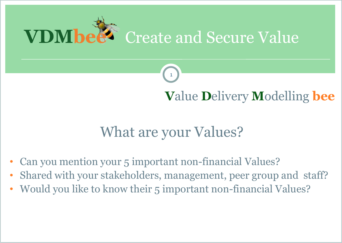



## **V**alue **D**elivery **M**odelling **bee**

## What are your Values?

- Can you mention your 5 important non-financial Values?
- Shared with your stakeholders, management, peer group and staff?
- Would you like to know their 5 important non-financial Values?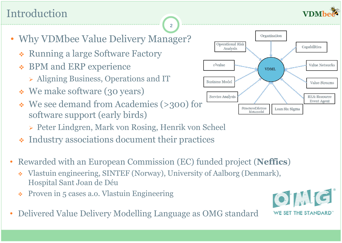

### Introduction

- Why VDMbee Value Delivery Manager?
	- Running a large Software Factory
	- **❖ BPM and ERP experience** 
		- Aligning Business, Operations and IT
	- We make software (30 years)
	- We see demand from Academies (>300) for software support (early birds)
		- Peter Lindgren, Mark von Rosing, Henrik von Scheel
	- Industry associations document their practices
- Rewarded with an European Commission (EC) funded project (**Neffics**)

- Vlastuin engineering, SINTEF (Norway), University of Aalborg (Denmark), Hospital Sant Joan de Déu
- Proven in 5 cases a.o. Vlastuin Engineering
- Delivered Value Delivery Modelling Language as OMG standard



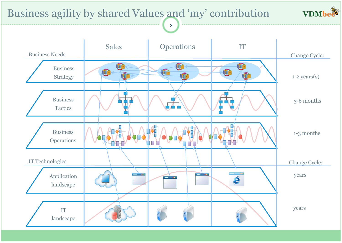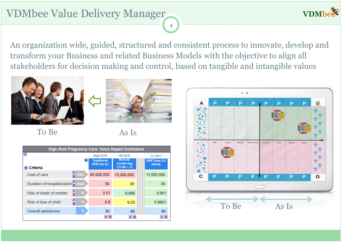**VDM** 

An organization wide, guided, structured and consistent process to innovate, develop and transform your Business and related Business Models with the objective to align all stakeholders for decision making and control, based on tangible and intangible values



To Be As Is



| <b>High Risk Pregnancy Care: Value Impact Estimation</b>                |                                           |                                          |                             |                               |
|-------------------------------------------------------------------------|-------------------------------------------|------------------------------------------|-----------------------------|-------------------------------|
| $\theta$                                                                |                                           | Sept 2014                                | H <sub>2</sub> 2015         | H1 2017                       |
|                                                                         | ٠                                         | <b>Traditional</b><br><b>HPR (As Is)</b> | <b>Remote</b><br>monitoring | <b>HRP Care 2.0</b><br>(Goal) |
| Criteria                                                                |                                           |                                          | $(To Be - 1)$               |                               |
| Cost of care                                                            | <b>USD</b>                                | 60,000,000                               | 15,000,000                  | 11,000,000                    |
| Duration of hospitalization $\frac{\partial}{\partial \mathbf{y}}$ days |                                           | 50                                       | 35                          | 30                            |
| Risk of death of mother                                                 | 0<br>$\%$<br>$\overline{\mathbf{x}}$      | 0.01                                     | 0.006                       | 0.001                         |
| Risk of loss of child                                                   | $\boldsymbol{\theta}$<br>%<br>$\mathbf x$ | 0.5                                      | 0.03                        | 0.0001                        |
| Overall satisfaction                                                    | %                                         | 30                                       | 60                          | 90                            |
|                                                                         |                                           | $\theta$ X                               |                             | $\theta$                      |

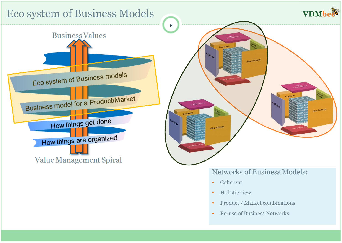

- Coherent
- Holistic view
- Product / Market combinations
- Re-use of Business Networks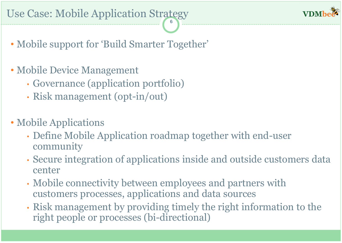• Mobile support for 'Build Smarter Together'

- Mobile Device Management
	- Governance (application portfolio)
	- Risk management (opt-in/out)
- Mobile Applications
	- Define Mobile Application roadmap together with end-user community
	- Secure integration of applications inside and outside customers data center
	- Mobile connectivity between employees and partners with customers processes, applications and data sources
	- Risk management by providing timely the right information to the right people or processes (bi-directional)

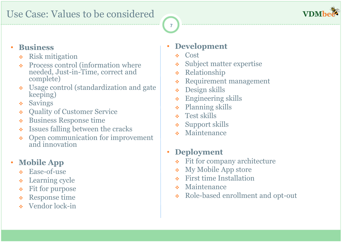

#### • **Business**

- Risk mitigation
- Process control (information where needed, Just-in-Time, correct and complete)
- Usage control (standardization and gate keeping)
- Savings
- Quality of Customer Service
- Business Response time
- Issues falling between the cracks
- Open communication for improvement and innovation

#### • **Mobile App**

- Ease-of-use
- Learning cycle
- Fit for purpose
- Response time
- Vendor lock-in

#### • **Development**

Cost

7

- Subject matter expertise
- Relationship
- Requirement management
- Design skills
- Engineering skills
- Planning skills
- **↑** Test skills
- Support skills
- Maintenance

#### • **Deployment**

- Fit for company architecture
- My Mobile App store
- First time Installation
- Maintenance
- Role-based enrollment and opt-out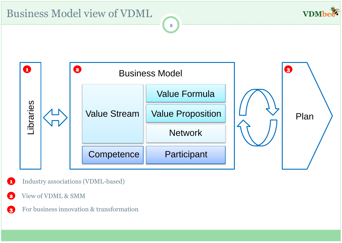



- $\mathbf G$ Industry associations (VDML-based)
- View of VDML & SMM  $\bullet$
- For business innovation & transformation<sup>3</sup>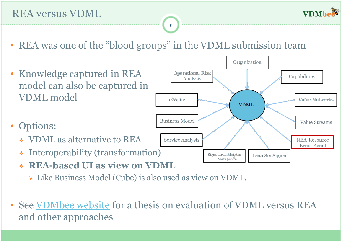• REA was one of the "blood groups" in the VDML submission team



- **REA-based UI as view on VDML**
	- Like Business Model (Cube) is also used as view on VDML.
- See [VDMbee](http://www.vdmbee.com/home/whitepaper-product-brochure-landing-page/) [website](http://www.vdmbee.com/home/whitepaper-product-brochure-landing-page/) for a thesis on evaluation of VDML versus REA and other approaches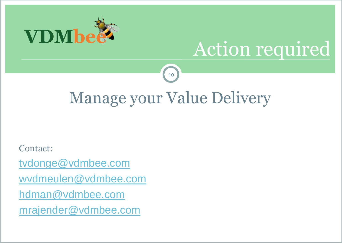

# Action required

## Manage your Value Delivery

10

Contact:

[tvdonge@vdmbee.com](mailto:tvdonge@vdmbee.com)

[wvdmeulen@vdmbee.com](mailto:wvdmeulen@vdmbee.com)

[hdman@vdmbee.com](mailto:hdman@vdmbee.com)

[mrajender@vdmbee.com](mailto:mrajender@vdmbee.com)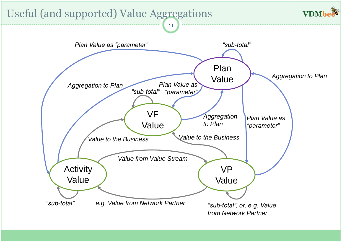